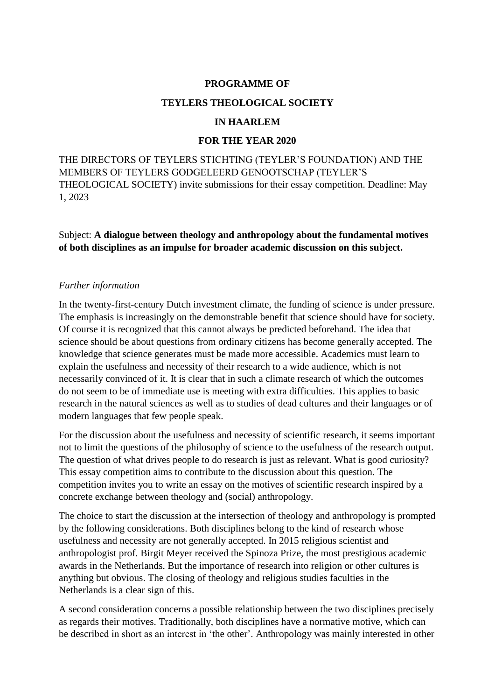### **PROGRAMME OF**

#### **TEYLERS THEOLOGICAL SOCIETY**

#### **IN HAARLEM**

### **FOR THE YEAR 2020**

THE DIRECTORS OF TEYLERS STICHTING (TEYLER'S FOUNDATION) AND THE MEMBERS OF TEYLERS GODGELEERD GENOOTSCHAP (TEYLER'S THEOLOGICAL SOCIETY) invite submissions for their essay competition. Deadline: May 1, 2023

Subject: **A dialogue between theology and anthropology about the fundamental motives of both disciplines as an impulse for broader academic discussion on this subject.** 

#### *Further information*

In the twenty-first-century Dutch investment climate, the funding of science is under pressure. The emphasis is increasingly on the demonstrable benefit that science should have for society. Of course it is recognized that this cannot always be predicted beforehand. The idea that science should be about questions from ordinary citizens has become generally accepted. The knowledge that science generates must be made more accessible. Academics must learn to explain the usefulness and necessity of their research to a wide audience, which is not necessarily convinced of it. It is clear that in such a climate research of which the outcomes do not seem to be of immediate use is meeting with extra difficulties. This applies to basic research in the natural sciences as well as to studies of dead cultures and their languages or of modern languages that few people speak.

For the discussion about the usefulness and necessity of scientific research, it seems important not to limit the questions of the philosophy of science to the usefulness of the research output. The question of what drives people to do research is just as relevant. What is good curiosity? This essay competition aims to contribute to the discussion about this question. The competition invites you to write an essay on the motives of scientific research inspired by a concrete exchange between theology and (social) anthropology.

The choice to start the discussion at the intersection of theology and anthropology is prompted by the following considerations. Both disciplines belong to the kind of research whose usefulness and necessity are not generally accepted. In 2015 religious scientist and anthropologist prof. Birgit Meyer received the Spinoza Prize, the most prestigious academic awards in the Netherlands. But the importance of research into religion or other cultures is anything but obvious. The closing of theology and religious studies faculties in the Netherlands is a clear sign of this.

A second consideration concerns a possible relationship between the two disciplines precisely as regards their motives. Traditionally, both disciplines have a normative motive, which can be described in short as an interest in 'the other'. Anthropology was mainly interested in other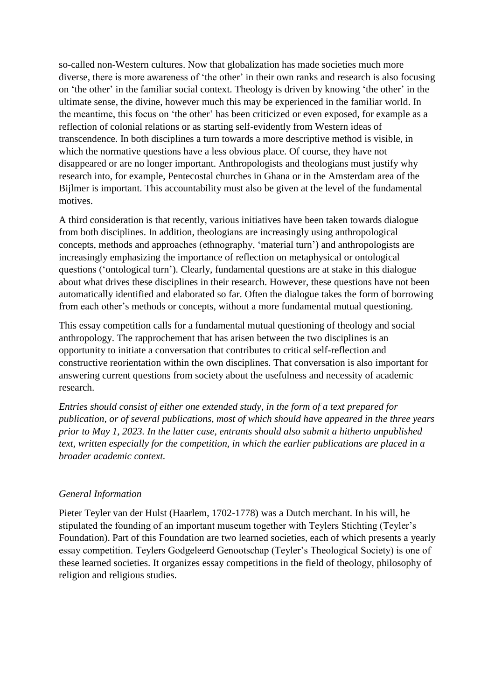so-called non-Western cultures. Now that globalization has made societies much more diverse, there is more awareness of 'the other' in their own ranks and research is also focusing on 'the other' in the familiar social context. Theology is driven by knowing 'the other' in the ultimate sense, the divine, however much this may be experienced in the familiar world. In the meantime, this focus on 'the other' has been criticized or even exposed, for example as a reflection of colonial relations or as starting self-evidently from Western ideas of transcendence. In both disciplines a turn towards a more descriptive method is visible, in which the normative questions have a less obvious place. Of course, they have not disappeared or are no longer important. Anthropologists and theologians must justify why research into, for example, Pentecostal churches in Ghana or in the Amsterdam area of the Bijlmer is important. This accountability must also be given at the level of the fundamental motives.

A third consideration is that recently, various initiatives have been taken towards dialogue from both disciplines. In addition, theologians are increasingly using anthropological concepts, methods and approaches (ethnography, 'material turn') and anthropologists are increasingly emphasizing the importance of reflection on metaphysical or ontological questions ('ontological turn'). Clearly, fundamental questions are at stake in this dialogue about what drives these disciplines in their research. However, these questions have not been automatically identified and elaborated so far. Often the dialogue takes the form of borrowing from each other's methods or concepts, without a more fundamental mutual questioning.

This essay competition calls for a fundamental mutual questioning of theology and social anthropology. The rapprochement that has arisen between the two disciplines is an opportunity to initiate a conversation that contributes to critical self-reflection and constructive reorientation within the own disciplines. That conversation is also important for answering current questions from society about the usefulness and necessity of academic research.

*Entries should consist of either one extended study, in the form of a text prepared for publication, or of several publications, most of which should have appeared in the three years prior to May 1, 2023. In the latter case, entrants should also submit a hitherto unpublished text, written especially for the competition, in which the earlier publications are placed in a broader academic context.* 

### *General Information*

Pieter Teyler van der Hulst (Haarlem, 1702-1778) was a Dutch merchant. In his will, he stipulated the founding of an important museum together with Teylers Stichting (Teyler's Foundation). Part of this Foundation are two learned societies, each of which presents a yearly essay competition. Teylers Godgeleerd Genootschap (Teyler's Theological Society) is one of these learned societies. It organizes essay competitions in the field of theology, philosophy of religion and religious studies.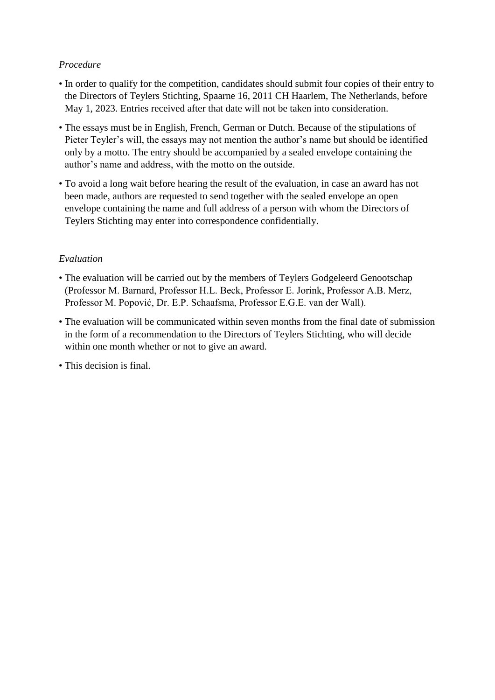# *Procedure*

- In order to qualify for the competition, candidates should submit four copies of their entry to the Directors of Teylers Stichting, Spaarne 16, 2011 CH Haarlem, The Netherlands, before May 1, 2023. Entries received after that date will not be taken into consideration.
- The essays must be in English, French, German or Dutch. Because of the stipulations of Pieter Teyler's will, the essays may not mention the author's name but should be identified only by a motto. The entry should be accompanied by a sealed envelope containing the author's name and address, with the motto on the outside.
- To avoid a long wait before hearing the result of the evaluation, in case an award has not been made, authors are requested to send together with the sealed envelope an open envelope containing the name and full address of a person with whom the Directors of Teylers Stichting may enter into correspondence confidentially.

# *Evaluation*

- The evaluation will be carried out by the members of Teylers Godgeleerd Genootschap (Professor M. Barnard, Professor H.L. Beck, Professor E. Jorink, Professor A.B. Merz, Professor M. Popović, Dr. E.P. Schaafsma, Professor E.G.E. van der Wall).
- The evaluation will be communicated within seven months from the final date of submission in the form of a recommendation to the Directors of Teylers Stichting, who will decide within one month whether or not to give an award.
- This decision is final.